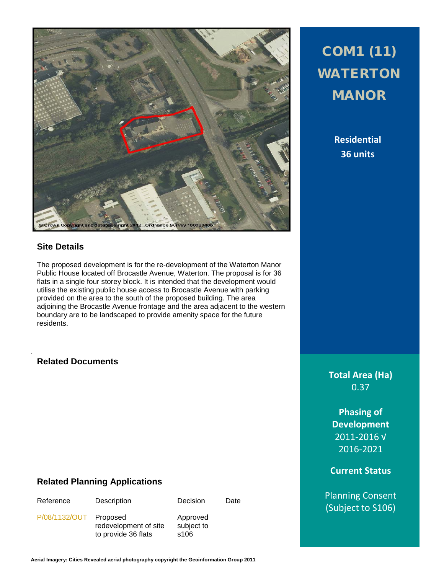

### **Site Details**

The proposed development is for the re-development of the Waterton Manor Public House located off Brocastle Avenue, Waterton. The proposal is for 36 flats in a single four storey block. It is intended that the development would utilise the existing public house access to Brocastle Avenue with parking provided on the area to the south of the proposed building. The area adjoining the Brocastle Avenue frontage and the area adjacent to the western boundary are to be landscaped to provide amenity space for the future residents.

#### **Related Documents**

.

### **Related Planning Applications**

Approved subject to s106

[P/08/1132/OUT](http://planpor.bridgend.gov.uk/OcellaWeb/planningDetails?reference=P/08/1132/OUT&from=planningSearch) Proposed

redevelopment of site to provide 36 flats

Reference Description Decision Date

# COM1 (11) WATERTON MANOR

**Residential 36 units**

**Total Area (Ha)** 0.37

**Phasing of Development** 2011-2016 √ 2016-2021

**Current Status**

Planning Consent (Subject to S106)